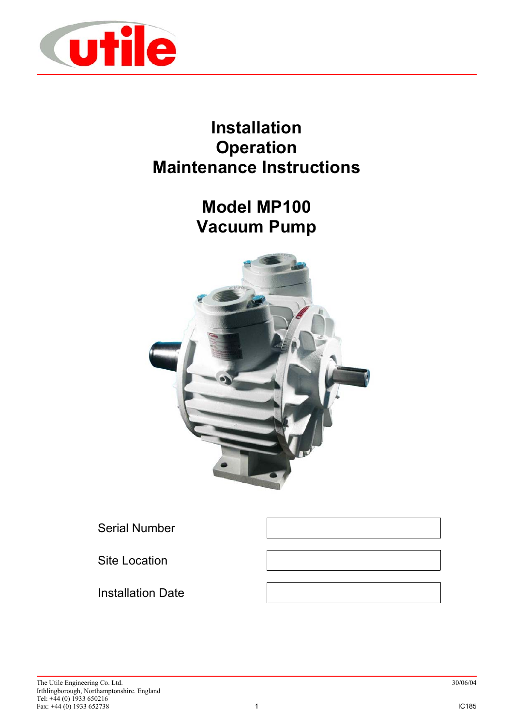

# **Installation Operation Maintenance Instructions**

# **Model MP100 Vacuum Pump**



Serial Number

Site Location

Installation Date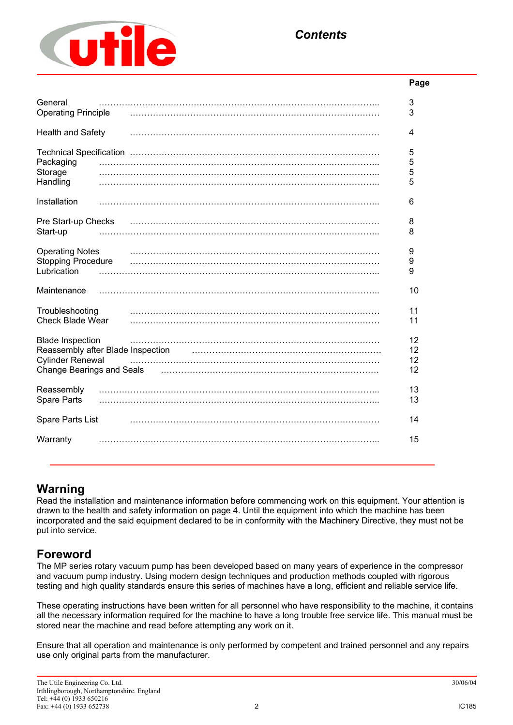

# **Page** General …………………………………………………………………………………….. 3 Operating Principle …………………………………………………………………………… 3 Health and Safety …………………………………………………………………………… 4 Technical Specification …………………………………………………………………………… 5 Packaging …………………………………………………………………………………….. 5 Storage …………………………………………………………………………………….. 5 Handling …………………………………………………………………………………….. 5 Installation …………………………………………………………………………………….. 6 Pre Start-up Checks …………………………………………………………………………… 8 Start-up …………………………………………………………………………………….. 8 Operating Notes …………………………………………………………………………… 9 Stopping Procedure …………………………………………………………………………… 9 Lubrication …………………………………………………………………………………….. 9 Maintenance …………………………………………………………………………………….. 10 Troubleshooting …………………………………………………………………………… 11 Check Blade Wear …………………………………………………………………………… 11 Blade Inspection …………………………………………………………………………… 12 Reassembly after Blade Inspection manufactured methods and the settlem of the settlem of the Reassembly after  $12$ Cylinder Renewal …………………………………………………………………………… 12 Change Bearings and Seals …………………………………………………………………. 12 Reassembly …………………………………………………………………………………….. 13 Spare Parts …………………………………………………………………………………….. 13 Spare Parts List …………………………………………………………………………… 14 Warranty …………………………………………………………………………………….. 15

# **Warning**

Read the installation and maintenance information before commencing work on this equipment. Your attention is drawn to the health and safety information on page 4. Until the equipment into which the machine has been incorporated and the said equipment declared to be in conformity with the Machinery Directive, they must not be put into service.

# **Foreword**

The MP series rotary vacuum pump has been developed based on many years of experience in the compressor and vacuum pump industry. Using modern design techniques and production methods coupled with rigorous testing and high quality standards ensure this series of machines have a long, efficient and reliable service life.

These operating instructions have been written for all personnel who have responsibility to the machine, it contains all the necessary information required for the machine to have a long trouble free service life. This manual must be stored near the machine and read before attempting any work on it.

Ensure that all operation and maintenance is only performed by competent and trained personnel and any repairs use only original parts from the manufacturer.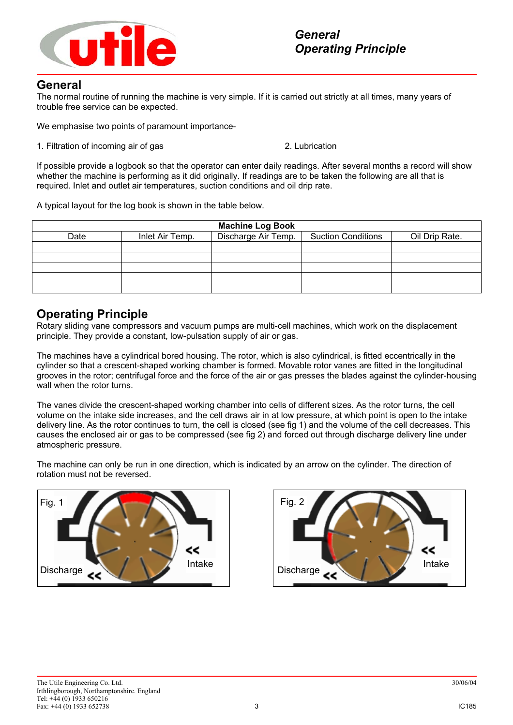

### **General**

The normal routine of running the machine is very simple. If it is carried out strictly at all times, many years of trouble free service can be expected.

We emphasise two points of paramount importance-

1. Filtration of incoming air of gas 2. Lubrication

If possible provide a logbook so that the operator can enter daily readings. After several months a record will show whether the machine is performing as it did originally. If readings are to be taken the following are all that is required. Inlet and outlet air temperatures, suction conditions and oil drip rate.

A typical layout for the log book is shown in the table below.

| <b>Machine Log Book</b> |                 |                     |                           |                |  |  |
|-------------------------|-----------------|---------------------|---------------------------|----------------|--|--|
| Date                    | Inlet Air Temp. | Discharge Air Temp. | <b>Suction Conditions</b> | Oil Drip Rate. |  |  |
|                         |                 |                     |                           |                |  |  |
|                         |                 |                     |                           |                |  |  |
|                         |                 |                     |                           |                |  |  |
|                         |                 |                     |                           |                |  |  |
|                         |                 |                     |                           |                |  |  |

## **Operating Principle**

Rotary sliding vane compressors and vacuum pumps are multi-cell machines, which work on the displacement principle. They provide a constant, low-pulsation supply of air or gas.

The machines have a cylindrical bored housing. The rotor, which is also cylindrical, is fitted eccentrically in the cylinder so that a crescent-shaped working chamber is formed. Movable rotor vanes are fitted in the longitudinal grooves in the rotor; centrifugal force and the force of the air or gas presses the blades against the cylinder-housing wall when the rotor turns.

The vanes divide the crescent-shaped working chamber into cells of different sizes. As the rotor turns, the cell volume on the intake side increases, and the cell draws air in at low pressure, at which point is open to the intake delivery line. As the rotor continues to turn, the cell is closed (see fig 1) and the volume of the cell decreases. This causes the enclosed air or gas to be compressed (see fig 2) and forced out through discharge delivery line under atmospheric pressure.

The machine can only be run in one direction, which is indicated by an arrow on the cylinder. The direction of rotation must not be reversed.



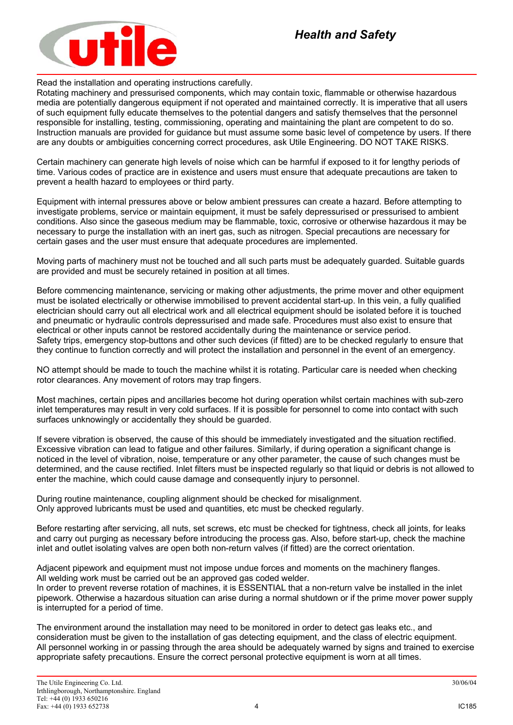

Read the installation and operating instructions carefully.

Rotating machinery and pressurised components, which may contain toxic, flammable or otherwise hazardous media are potentially dangerous equipment if not operated and maintained correctly. It is imperative that all users of such equipment fully educate themselves to the potential dangers and satisfy themselves that the personnel responsible for installing, testing, commissioning, operating and maintaining the plant are competent to do so. Instruction manuals are provided for guidance but must assume some basic level of competence by users. If there are any doubts or ambiguities concerning correct procedures, ask Utile Engineering. DO NOT TAKE RISKS.

Certain machinery can generate high levels of noise which can be harmful if exposed to it for lengthy periods of time. Various codes of practice are in existence and users must ensure that adequate precautions are taken to prevent a health hazard to employees or third party.

Equipment with internal pressures above or below ambient pressures can create a hazard. Before attempting to investigate problems, service or maintain equipment, it must be safely depressurised or pressurised to ambient conditions. Also since the gaseous medium may be flammable, toxic, corrosive or otherwise hazardous it may be necessary to purge the installation with an inert gas, such as nitrogen. Special precautions are necessary for certain gases and the user must ensure that adequate procedures are implemented.

Moving parts of machinery must not be touched and all such parts must be adequately guarded. Suitable guards are provided and must be securely retained in position at all times.

Before commencing maintenance, servicing or making other adjustments, the prime mover and other equipment must be isolated electrically or otherwise immobilised to prevent accidental start-up. In this vein, a fully qualified electrician should carry out all electrical work and all electrical equipment should be isolated before it is touched and pneumatic or hydraulic controls depressurised and made safe. Procedures must also exist to ensure that electrical or other inputs cannot be restored accidentally during the maintenance or service period. Safety trips, emergency stop-buttons and other such devices (if fitted) are to be checked regularly to ensure that they continue to function correctly and will protect the installation and personnel in the event of an emergency.

NO attempt should be made to touch the machine whilst it is rotating. Particular care is needed when checking rotor clearances. Any movement of rotors may trap fingers.

Most machines, certain pipes and ancillaries become hot during operation whilst certain machines with sub-zero inlet temperatures may result in very cold surfaces. If it is possible for personnel to come into contact with such surfaces unknowingly or accidentally they should be guarded.

If severe vibration is observed, the cause of this should be immediately investigated and the situation rectified. Excessive vibration can lead to fatigue and other failures. Similarly, if during operation a significant change is noticed in the level of vibration, noise, temperature or any other parameter, the cause of such changes must be determined, and the cause rectified. Inlet filters must be inspected regularly so that liquid or debris is not allowed to enter the machine, which could cause damage and consequently injury to personnel.

During routine maintenance, coupling alignment should be checked for misalignment. Only approved lubricants must be used and quantities, etc must be checked regularly.

Before restarting after servicing, all nuts, set screws, etc must be checked for tightness, check all joints, for leaks and carry out purging as necessary before introducing the process gas. Also, before start-up, check the machine inlet and outlet isolating valves are open both non-return valves (if fitted) are the correct orientation.

Adjacent pipework and equipment must not impose undue forces and moments on the machinery flanges. All welding work must be carried out be an approved gas coded welder.

In order to prevent reverse rotation of machines, it is ESSENTIAL that a non-return valve be installed in the inlet pipework. Otherwise a hazardous situation can arise during a normal shutdown or if the prime mover power supply is interrupted for a period of time.

The environment around the installation may need to be monitored in order to detect gas leaks etc., and consideration must be given to the installation of gas detecting equipment, and the class of electric equipment. All personnel working in or passing through the area should be adequately warned by signs and trained to exercise appropriate safety precautions. Ensure the correct personal protective equipment is worn at all times.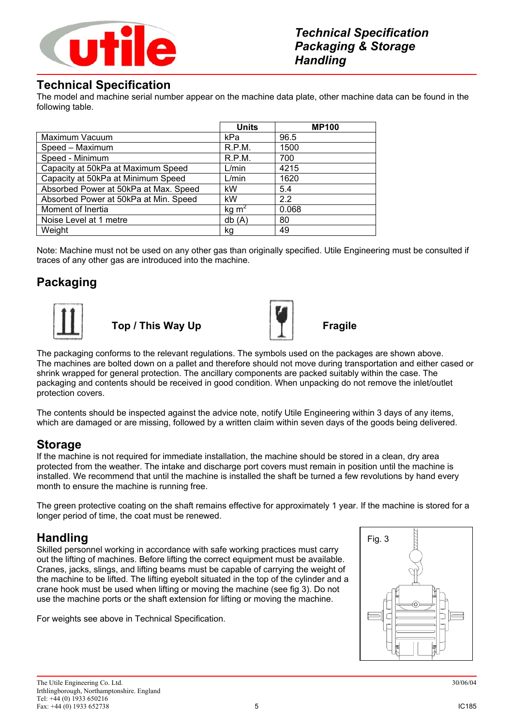

# **Technical Specification**

The model and machine serial number appear on the machine data plate, other machine data can be found in the following table.

|                                       | <b>Units</b>      | <b>MP100</b> |
|---------------------------------------|-------------------|--------------|
| Maximum Vacuum                        | kPa               | 96.5         |
| Speed - Maximum                       | R.P.M.            | 1500         |
| Speed - Minimum                       | R.P.M.            | 700          |
| Capacity at 50kPa at Maximum Speed    | L/min             | 4215         |
| Capacity at 50kPa at Minimum Speed    | L/min             | 1620         |
| Absorbed Power at 50kPa at Max. Speed | kW                | 5.4          |
| Absorbed Power at 50kPa at Min. Speed | kW                | 2.2          |
| Moment of Inertia                     | kg m <sup>2</sup> | 0.068        |
| Noise Level at 1 metre                | db(A)             | 80           |
| Weight                                | kg                | 49           |

Note: Machine must not be used on any other gas than originally specified. Utile Engineering must be consulted if traces of any other gas are introduced into the machine.

# **Packaging**



**Top / This Way Up Fragile**



The packaging conforms to the relevant regulations. The symbols used on the packages are shown above. The machines are bolted down on a pallet and therefore should not move during transportation and either cased or shrink wrapped for general protection. The ancillary components are packed suitably within the case. The packaging and contents should be received in good condition. When unpacking do not remove the inlet/outlet protection covers.

The contents should be inspected against the advice note, notify Utile Engineering within 3 days of any items, which are damaged or are missing, followed by a written claim within seven days of the goods being delivered.

# **Storage**

If the machine is not required for immediate installation, the machine should be stored in a clean, dry area protected from the weather. The intake and discharge port covers must remain in position until the machine is installed. We recommend that until the machine is installed the shaft be turned a few revolutions by hand every month to ensure the machine is running free.

The green protective coating on the shaft remains effective for approximately 1 year. If the machine is stored for a longer period of time, the coat must be renewed.

# **Handling**

Skilled personnel working in accordance with safe working practices must carry out the lifting of machines. Before lifting the correct equipment must be available. Cranes, jacks, slings, and lifting beams must be capable of carrying the weight of the machine to be lifted. The lifting eyebolt situated in the top of the cylinder and a crane hook must be used when lifting or moving the machine (see fig 3). Do not use the machine ports or the shaft extension for lifting or moving the machine.

For weights see above in Technical Specification.

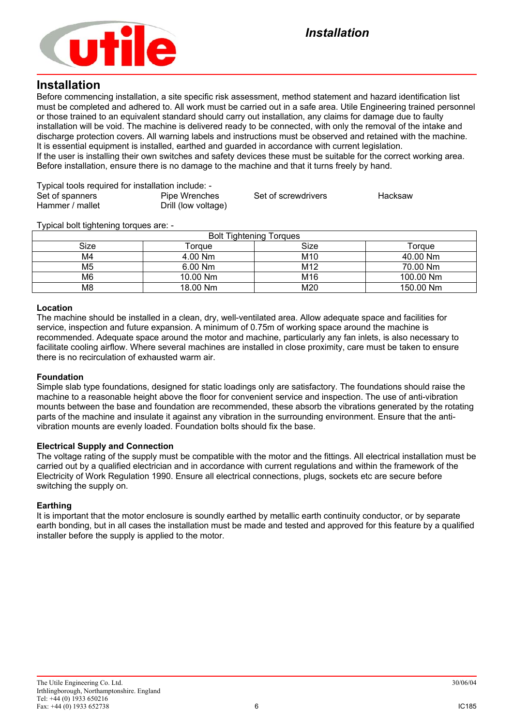

### **Installation**

Before commencing installation, a site specific risk assessment, method statement and hazard identification list must be completed and adhered to. All work must be carried out in a safe area. Utile Engineering trained personnel or those trained to an equivalent standard should carry out installation, any claims for damage due to faulty installation will be void. The machine is delivered ready to be connected, with only the removal of the intake and discharge protection covers. All warning labels and instructions must be observed and retained with the machine. It is essential equipment is installed, earthed and guarded in accordance with current legislation. If the user is installing their own switches and safety devices these must be suitable for the correct working area. Before installation, ensure there is no damage to the machine and that it turns freely by hand.

| Typical tools required for installation include: - |                     |                     |         |
|----------------------------------------------------|---------------------|---------------------|---------|
| Set of spanners                                    | Pipe Wrenches       | Set of screwdrivers | Hacksaw |
| Hammer / mallet                                    | Drill (low voltage) |                     |         |

Typical bolt tightening torques are: -

| <b>Bolt Tightening Torques</b> |           |                 |           |  |
|--------------------------------|-----------|-----------------|-----------|--|
| Size                           | Torgue    | Size            | Torque    |  |
| M4                             | 4.00 Nm   | M <sub>10</sub> | 40.00 Nm  |  |
| M5                             | $6.00$ Nm | M <sub>12</sub> | 70.00 Nm  |  |
| M6                             | 10.00 Nm  | M16             | 100.00 Nm |  |
| M8                             | 18.00 Nm  | M20             | 150.00 Nm |  |

### **Location**

The machine should be installed in a clean, dry, well-ventilated area. Allow adequate space and facilities for service, inspection and future expansion. A minimum of 0.75m of working space around the machine is recommended. Adequate space around the motor and machine, particularly any fan inlets, is also necessary to facilitate cooling airflow. Where several machines are installed in close proximity, care must be taken to ensure there is no recirculation of exhausted warm air.

#### **Foundation**

Simple slab type foundations, designed for static loadings only are satisfactory. The foundations should raise the machine to a reasonable height above the floor for convenient service and inspection. The use of anti-vibration mounts between the base and foundation are recommended, these absorb the vibrations generated by the rotating parts of the machine and insulate it against any vibration in the surrounding environment. Ensure that the antivibration mounts are evenly loaded. Foundation bolts should fix the base.

### **Electrical Supply and Connection**

The voltage rating of the supply must be compatible with the motor and the fittings. All electrical installation must be carried out by a qualified electrician and in accordance with current regulations and within the framework of the Electricity of Work Regulation 1990. Ensure all electrical connections, plugs, sockets etc are secure before switching the supply on.

#### **Earthing**

It is important that the motor enclosure is soundly earthed by metallic earth continuity conductor, or by separate earth bonding, but in all cases the installation must be made and tested and approved for this feature by a qualified installer before the supply is applied to the motor.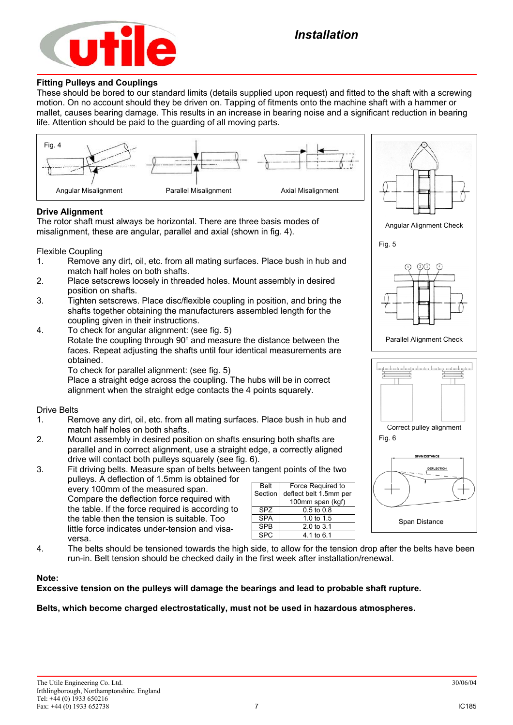

#### **Fitting Pulleys and Couplings**

These should be bored to our standard limits (details supplied upon request) and fitted to the shaft with a screwing motion. On no account should they be driven on. Tapping of fitments onto the machine shaft with a hammer or mallet, causes bearing damage. This results in an increase in bearing noise and a significant reduction in bearing life. Attention should be paid to the guarding of all moving parts.



- 2. Mount assembly in desired position on shafts ensuring both shafts are parallel and in correct alignment, use a straight edge, a correctly aligned drive will contact both pulleys squarely (see fig. 6).
- 3. Fit driving belts. Measure span of belts between tangent points of the two pulleys. A deflection of 1.5mm is obtained for every 100mm of the measured span. Compare the deflection force required with the table. If the force required is according to the table then the tension is suitable. Too little force indicates under-tension and visaversa. Belt Section

| <b>Belt</b>     | Force Required to      |
|-----------------|------------------------|
| Section         | deflect belt 1.5mm per |
|                 | 100mm span (kgf)       |
| SP <sub>7</sub> | $0.5 \text{ to } 0.8$  |
| <b>SPA</b>      | 1.0 to $1.5$           |
| <b>SPR</b>      | $2.0 \text{ to } 3.1$  |
|                 | 4.1 to 6.1             |

4. The belts should be tensioned towards the high side, to allow for the tension drop after the belts have been run-in. Belt tension should be checked daily in the first week after installation/renewal.

#### **Note:**

### **Excessive tension on the pulleys will damage the bearings and lead to probable shaft rupture.**

#### **Belts, which become charged electrostatically, must not be used in hazardous atmospheres.**

Span Distance

**AN DISTANCE DEFLECTION**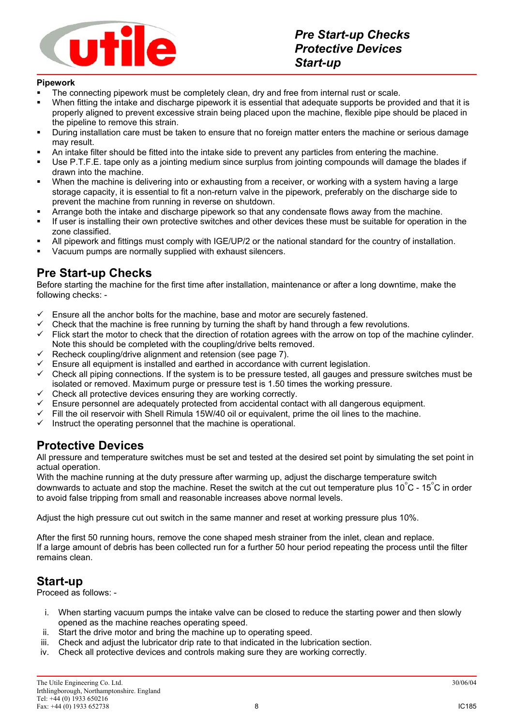

### **Pipework**

- The connecting pipework must be completely clean, dry and free from internal rust or scale.
- When fitting the intake and discharge pipework it is essential that adequate supports be provided and that it is properly aligned to prevent excessive strain being placed upon the machine, flexible pipe should be placed in the pipeline to remove this strain.
- During installation care must be taken to ensure that no foreign matter enters the machine or serious damage may result.
- An intake filter should be fitted into the intake side to prevent any particles from entering the machine.
- Use P.T.F.E. tape only as a jointing medium since surplus from jointing compounds will damage the blades if drawn into the machine.
- When the machine is delivering into or exhausting from a receiver, or working with a system having a large storage capacity, it is essential to fit a non-return valve in the pipework, preferably on the discharge side to prevent the machine from running in reverse on shutdown.
- **Arrange both the intake and discharge pipework so that any condensate flows away from the machine.**
- If user is installing their own protective switches and other devices these must be suitable for operation in the zone classified.
- All pipework and fittings must comply with IGE/UP/2 or the national standard for the country of installation.
- Vacuum pumps are normally supplied with exhaust silencers.

### **Pre Start-up Checks**

Before starting the machine for the first time after installation, maintenance or after a long downtime, make the following checks: -

- Ensure all the anchor bolts for the machine, base and motor are securely fastened.<br>
Check that the machine is free running by furning the shaft by hand through a few re
- Check that the machine is free running by turning the shaft by hand through a few revolutions.
- $\checkmark$  Flick start the motor to check that the direction of rotation agrees with the arrow on top of the machine cylinder. Note this should be completed with the coupling/drive belts removed.
- $\checkmark$  Recheck coupling/drive alignment and retension (see page 7).
- $\checkmark$  Ensure all equipment is installed and earthed in accordance with current legislation.<br> $\checkmark$  Check all pining connections. If the system is to be pressure tested, all gauges and in
- 9 Check all piping connections. If the system is to be pressure tested, all gauges and pressure switches must be isolated or removed. Maximum purge or pressure test is 1.50 times the working pressure.
- $\checkmark$  Check all protective devices ensuring they are working correctly.
- 9 Ensure personnel are adequately protected from accidental contact with all dangerous equipment.
- $\checkmark$  Fill the oil reservoir with Shell Rimula 15W/40 oil or equivalent, prime the oil lines to the machine.
- Instruct the operating personnel that the machine is operational.

# **Protective Devices**

All pressure and temperature switches must be set and tested at the desired set point by simulating the set point in actual operation.

With the machine running at the duty pressure after warming up, adjust the discharge temperature switch downwards to actuate and stop the machine. Reset the switch at the cut out temperature plus 10 $\degree$ C - 15 $\degree$ C in order to avoid false tripping from small and reasonable increases above normal levels.

Adjust the high pressure cut out switch in the same manner and reset at working pressure plus 10%.

After the first 50 running hours, remove the cone shaped mesh strainer from the inlet, clean and replace. If a large amount of debris has been collected run for a further 50 hour period repeating the process until the filter remains clean.

# **Start-up**

Proceed as follows: -

- i. When starting vacuum pumps the intake valve can be closed to reduce the starting power and then slowly opened as the machine reaches operating speed.
- ii. Start the drive motor and bring the machine up to operating speed.
- iii. Check and adjust the lubricator drip rate to that indicated in the lubrication section.
- iv. Check all protective devices and controls making sure they are working correctly.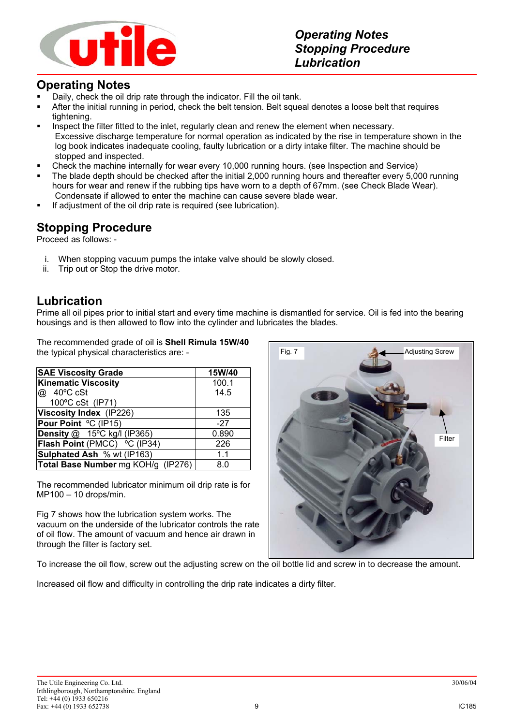

# **Operating Notes**

- Daily, check the oil drip rate through the indicator. Fill the oil tank.
- After the initial running in period, check the belt tension. Belt squeal denotes a loose belt that requires tightening.
- **Inspect the filter fitted to the inlet, regularly clean and renew the element when necessary.** Excessive discharge temperature for normal operation as indicated by the rise in temperature shown in the log book indicates inadequate cooling, faulty lubrication or a dirty intake filter. The machine should be stopped and inspected.
- Check the machine internally for wear every 10,000 running hours. (see Inspection and Service)
- The blade depth should be checked after the initial 2,000 running hours and thereafter every 5,000 running hours for wear and renew if the rubbing tips have worn to a depth of 67mm. (see Check Blade Wear). Condensate if allowed to enter the machine can cause severe blade wear.
- If adjustment of the oil drip rate is required (see lubrication).

### **Stopping Procedure**

Proceed as follows: -

- i. When stopping vacuum pumps the intake valve should be slowly closed.
- ii. Trip out or Stop the drive motor.

### **Lubrication**

Prime all oil pipes prior to initial start and every time machine is dismantled for service. Oil is fed into the bearing housings and is then allowed to flow into the cylinder and lubricates the blades.

The recommended grade of oil is **Shell Rimula 15W/40** the typical physical characteristics are: -

| <b>SAE Viscosity Grade</b>         | 15W/40 |
|------------------------------------|--------|
| <b>Kinematic Viscosity</b>         | 100.1  |
| @ 40°C cSt                         | 14.5   |
| 100°C cSt (IP71)                   |        |
| Viscosity Index (IP226)            | 135    |
| Pour Point °C (IP15)               | $-27$  |
| <b>Density @ 15°C kg/l (IP365)</b> | 0.890  |
| Flash Point (PMCC) °C (IP34)       | 226    |
| Sulphated Ash % wt (IP163)         | 1.1    |
| Total Base Number mg KOH/g (IP276) | 8.0    |

The recommended lubricator minimum oil drip rate is for MP100 – 10 drops/min.

Fig 7 shows how the lubrication system works. The vacuum on the underside of the lubricator controls the rate of oil flow. The amount of vacuum and hence air drawn in through the filter is factory set.

To increase the oil flow, screw out the adjusting screw on the oil bottle lid and screw in to decrease the amount.

Increased oil flow and difficulty in controlling the drip rate indicates a dirty filter.

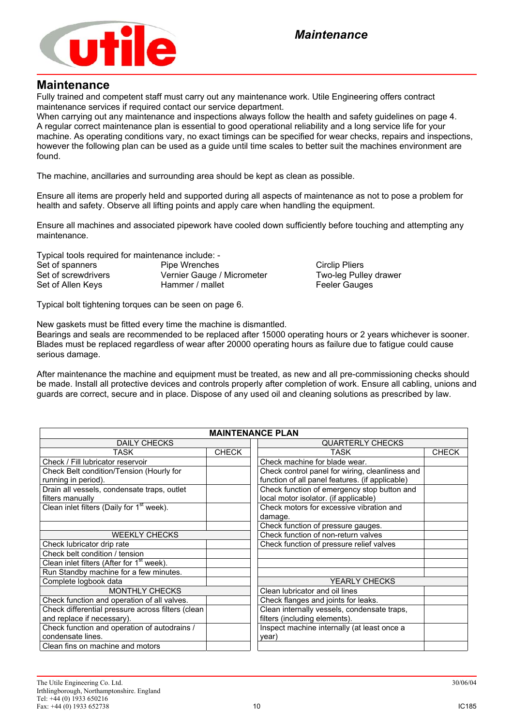

### **Maintenance**

Fully trained and competent staff must carry out any maintenance work. Utile Engineering offers contract maintenance services if required contact our service department.

When carrying out any maintenance and inspections always follow the health and safety guidelines on page 4. A regular correct maintenance plan is essential to good operational reliability and a long service life for your machine. As operating conditions vary, no exact timings can be specified for wear checks, repairs and inspections, however the following plan can be used as a guide until time scales to better suit the machines environment are found.

The machine, ancillaries and surrounding area should be kept as clean as possible.

Ensure all items are properly held and supported during all aspects of maintenance as not to pose a problem for health and safety. Observe all lifting points and apply care when handling the equipment.

Ensure all machines and associated pipework have cooled down sufficiently before touching and attempting any maintenance.

Typical tools required for maintenance include: -

Set of spanners **Pipe Wrenches** Circlip Pliers Circlip Pliers Set of screwdrivers **Vernier Gauge / Micrometer** Two-leg Pulley drawer Set of Allen Keys **Hammer / mallet** Feeler Gauges

Typical bolt tightening torques can be seen on page 6.

New gaskets must be fitted every time the machine is dismantled.

Bearings and seals are recommended to be replaced after 15000 operating hours or 2 years whichever is sooner. Blades must be replaced regardless of wear after 20000 operating hours as failure due to fatigue could cause serious damage.

After maintenance the machine and equipment must be treated, as new and all pre-commissioning checks should be made. Install all protective devices and controls properly after completion of work. Ensure all cabling, unions and guards are correct, secure and in place. Dispose of any used oil and cleaning solutions as prescribed by law.

| <b>MAINTENANCE PLAN</b>                               |                                          |                                                 |              |  |
|-------------------------------------------------------|------------------------------------------|-------------------------------------------------|--------------|--|
| <b>DAILY CHECKS</b>                                   |                                          | <b>QUARTERLY CHECKS</b>                         |              |  |
| TASK                                                  | <b>CHECK</b>                             | TASK                                            | <b>CHECK</b> |  |
| Check / Fill lubricator reservoir                     |                                          | Check machine for blade wear.                   |              |  |
| Check Belt condition/Tension (Hourly for              |                                          | Check control panel for wiring, cleanliness and |              |  |
| running in period).                                   |                                          | function of all panel features. (if applicable) |              |  |
| Drain all vessels, condensate traps, outlet           |                                          | Check function of emergency stop button and     |              |  |
| filters manually                                      |                                          | local motor isolator. (if applicable)           |              |  |
| Clean inlet filters (Daily for 1 <sup>st</sup> week). |                                          | Check motors for excessive vibration and        |              |  |
|                                                       |                                          | damage.                                         |              |  |
|                                                       |                                          | Check function of pressure gauges.              |              |  |
| <b>WEEKLY CHECKS</b>                                  |                                          | Check function of non-return valves             |              |  |
| Check lubricator drip rate                            | Check function of pressure relief valves |                                                 |              |  |
| Check belt condition / tension                        |                                          |                                                 |              |  |
| Clean inlet filters (After for 1 <sup>st</sup> week). |                                          |                                                 |              |  |
| Run Standby machine for a few minutes.                |                                          |                                                 |              |  |
| Complete logbook data                                 |                                          | <b>YEARLY CHECKS</b>                            |              |  |
| <b>MONTHLY CHECKS</b>                                 |                                          | Clean lubricator and oil lines                  |              |  |
| Check function and operation of all valves.           |                                          | Check flanges and joints for leaks.             |              |  |
| Check differential pressure across filters (clean     |                                          | Clean internally vessels, condensate traps,     |              |  |
| and replace if necessary).                            |                                          | filters (including elements).                   |              |  |
| Check function and operation of autodrains /          |                                          | Inspect machine internally (at least once a     |              |  |
| condensate lines.                                     |                                          | year)                                           |              |  |
| Clean fins on machine and motors                      |                                          |                                                 |              |  |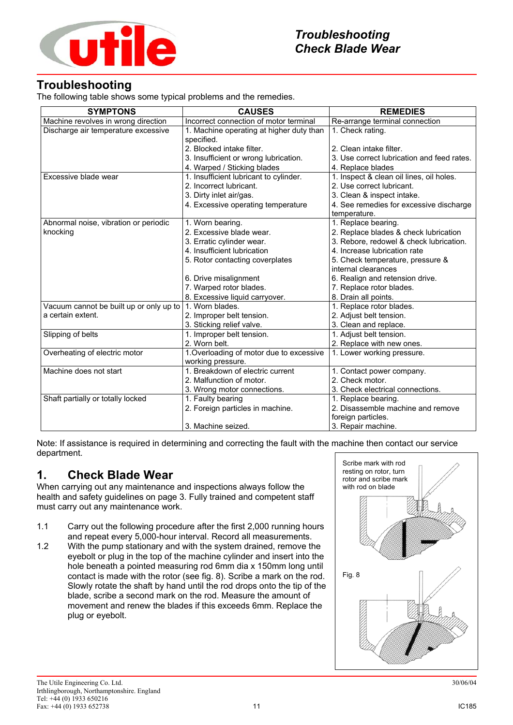

# **Troubleshooting**

The following table shows some typical problems and the remedies.

| <b>SYMPTONS</b>                         | <b>CAUSES</b>                                                 | <b>REMEDIES</b>                            |
|-----------------------------------------|---------------------------------------------------------------|--------------------------------------------|
| Machine revolves in wrong direction     | Incorrect connection of motor terminal                        | Re-arrange terminal connection             |
| Discharge air temperature excessive     | 1. Machine operating at higher duty than<br>specified.        | 1. Check rating.                           |
|                                         | 2. Blocked intake filter.                                     | 2. Clean intake filter.                    |
|                                         | 3. Insufficient or wrong lubrication.                         | 3. Use correct lubrication and feed rates. |
|                                         | 4. Warped / Sticking blades                                   | 4. Replace blades                          |
| Excessive blade wear                    | 1. Insufficient lubricant to cylinder.                        | 1. Inspect & clean oil lines, oil holes.   |
|                                         | 2. Incorrect lubricant.                                       | 2. Use correct lubricant.                  |
|                                         | 3. Dirty inlet air/gas.                                       | 3. Clean & inspect intake.                 |
|                                         | 4. Excessive operating temperature                            | 4. See remedies for excessive discharge    |
|                                         |                                                               | temperature.                               |
| Abnormal noise, vibration or periodic   | 1. Worn bearing.                                              | 1. Replace bearing.                        |
| knocking                                | 2. Excessive blade wear.                                      | 2. Replace blades & check lubrication      |
|                                         | 3. Erratic cylinder wear.                                     | 3. Rebore, redowel & check lubrication.    |
|                                         | 4. Insufficient lubrication                                   | 4. Increase lubrication rate               |
|                                         | 5. Rotor contacting coverplates                               | 5. Check temperature, pressure &           |
|                                         |                                                               | internal clearances                        |
|                                         | 6. Drive misalignment                                         | 6. Realign and retension drive.            |
|                                         | 7. Warped rotor blades.                                       | 7. Replace rotor blades.                   |
|                                         | 8. Excessive liquid carryover.                                | 8. Drain all points.                       |
| Vacuum cannot be built up or only up to | 1. Worn blades.                                               | 1. Replace rotor blades.                   |
| a certain extent.                       | 2. Improper belt tension.                                     | 2. Adjust belt tension.                    |
|                                         | 3. Sticking relief valve.                                     | 3. Clean and replace.                      |
| Slipping of belts                       | 1. Improper belt tension.                                     | 1. Adjust belt tension.                    |
|                                         | 2. Worn belt.                                                 | 2. Replace with new ones.                  |
| Overheating of electric motor           | 1. Overloading of motor due to excessive<br>working pressure. | 1. Lower working pressure.                 |
| Machine does not start                  | 1. Breakdown of electric current                              | 1. Contact power company.                  |
|                                         | 2. Malfunction of motor.                                      | 2. Check motor.                            |
|                                         | 3. Wrong motor connections.                                   | 3. Check electrical connections.           |
| Shaft partially or totally locked       | 1. Faulty bearing                                             | 1. Replace bearing.                        |
|                                         | 2. Foreign particles in machine.                              | 2. Disassemble machine and remove          |
|                                         |                                                               | foreign particles.                         |
|                                         | 3. Machine seized.                                            | 3. Repair machine.                         |

Note: If assistance is required in determining and correcting the fault with the machine then contact our service department.

# **1. Check Blade Wear**

When carrying out any maintenance and inspections always follow the health and safety guidelines on page 3. Fully trained and competent staff must carry out any maintenance work.

- 1.1 Carry out the following procedure after the first 2,000 running hours and repeat every 5,000-hour interval. Record all measurements.
- 1.2 With the pump stationary and with the system drained, remove the eyebolt or plug in the top of the machine cylinder and insert into the hole beneath a pointed measuring rod 6mm dia x 150mm long until contact is made with the rotor (see fig. 8). Scribe a mark on the rod. Slowly rotate the shaft by hand until the rod drops onto the tip of the blade, scribe a second mark on the rod. Measure the amount of movement and renew the blades if this exceeds 6mm. Replace the plug or eyebolt.

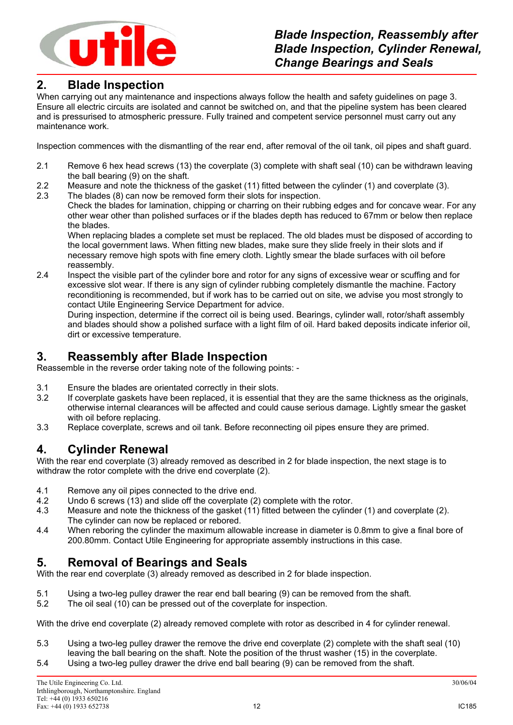

# **2. Blade Inspection**

When carrying out any maintenance and inspections always follow the health and safety guidelines on page 3. Ensure all electric circuits are isolated and cannot be switched on, and that the pipeline system has been cleared and is pressurised to atmospheric pressure. Fully trained and competent service personnel must carry out any maintenance work.

Inspection commences with the dismantling of the rear end, after removal of the oil tank, oil pipes and shaft guard.

- 2.1 Remove 6 hex head screws (13) the coverplate (3) complete with shaft seal (10) can be withdrawn leaving the ball bearing (9) on the shaft.
- 2.2 Measure and note the thickness of the gasket (11) fitted between the cylinder (1) and coverplate (3).
- 2.3 The blades (8) can now be removed form their slots for inspection.

Check the blades for lamination, chipping or charring on their rubbing edges and for concave wear. For any other wear other than polished surfaces or if the blades depth has reduced to 67mm or below then replace the blades.

When replacing blades a complete set must be replaced. The old blades must be disposed of according to the local government laws. When fitting new blades, make sure they slide freely in their slots and if necessary remove high spots with fine emery cloth. Lightly smear the blade surfaces with oil before reassembly.

2.4 Inspect the visible part of the cylinder bore and rotor for any signs of excessive wear or scuffing and for excessive slot wear. If there is any sign of cylinder rubbing completely dismantle the machine. Factory reconditioning is recommended, but if work has to be carried out on site, we advise you most strongly to contact Utile Engineering Service Department for advice.

During inspection, determine if the correct oil is being used. Bearings, cylinder wall, rotor/shaft assembly and blades should show a polished surface with a light film of oil. Hard baked deposits indicate inferior oil, dirt or excessive temperature.

# **3. Reassembly after Blade Inspection**

Reassemble in the reverse order taking note of the following points: -

- 3.1 Ensure the blades are orientated correctly in their slots.
- 3.2 If coverplate gaskets have been replaced, it is essential that they are the same thickness as the originals, otherwise internal clearances will be affected and could cause serious damage. Lightly smear the gasket with oil before replacing.
- 3.3 Replace coverplate, screws and oil tank. Before reconnecting oil pipes ensure they are primed.

# **4. Cylinder Renewal**

With the rear end coverplate (3) already removed as described in 2 for blade inspection, the next stage is to withdraw the rotor complete with the drive end coverplate (2).

- 4.1 Remove any oil pipes connected to the drive end.
- 4.2 Undo 6 screws (13) and slide off the coverplate (2) complete with the rotor.
- 4.3 Measure and note the thickness of the gasket (11) fitted between the cylinder (1) and coverplate (2). The cylinder can now be replaced or rebored.
- 4.4 When reboring the cylinder the maximum allowable increase in diameter is 0.8mm to give a final bore of 200.80mm. Contact Utile Engineering for appropriate assembly instructions in this case.

# **5. Removal of Bearings and Seals**

With the rear end coverplate (3) already removed as described in 2 for blade inspection.

- 5.1 Using a two-leg pulley drawer the rear end ball bearing (9) can be removed from the shaft.<br>5.2 The oil seal (10) can be pressed out of the coverplate for inspection.
- The oil seal (10) can be pressed out of the coverplate for inspection.

With the drive end coverplate (2) already removed complete with rotor as described in 4 for cylinder renewal.

5.3 Using a two-leg pulley drawer the remove the drive end coverplate (2) complete with the shaft seal (10) leaving the ball bearing on the shaft. Note the position of the thrust washer (15) in the coverplate. 5.4 Using a two-leg pulley drawer the drive end ball bearing (9) can be removed from the shaft.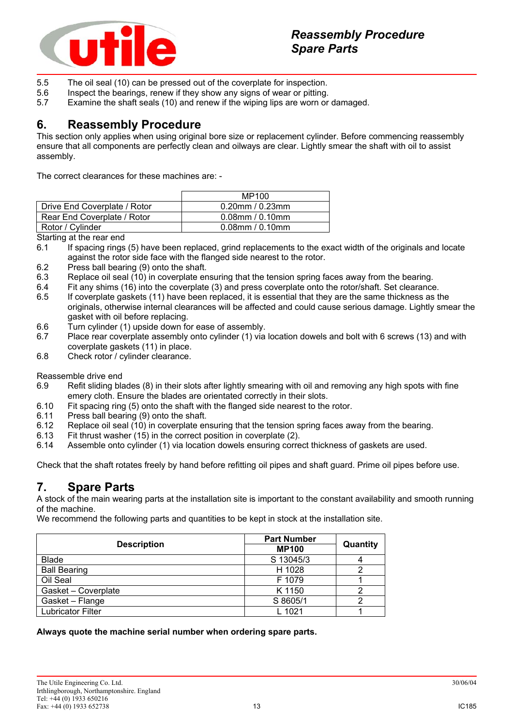

- 5.5 The oil seal (10) can be pressed out of the coverplate for inspection.
- 5.6 Inspect the bearings, renew if they show any signs of wear or pitting.
- 5.7 Examine the shaft seals (10) and renew if the wiping lips are worn or damaged.

# **6. Reassembly Procedure**

This section only applies when using original bore size or replacement cylinder. Before commencing reassembly ensure that all components are perfectly clean and oilways are clear. Lightly smear the shaft with oil to assist assembly.

The correct clearances for these machines are: -

|                              | MP100                 |
|------------------------------|-----------------------|
| Drive End Coverplate / Rotor | $0.20$ mm / $0.23$ mm |
| Rear End Coverplate / Rotor  | $0.08$ mm / $0.10$ mm |
| Rotor / Cylinder             | $0.08$ mm / $0.10$ mm |

Starting at the rear end

- 6.1 If spacing rings (5) have been replaced, grind replacements to the exact width of the originals and locate against the rotor side face with the flanged side nearest to the rotor.
- 6.2 Press ball bearing (9) onto the shaft.
- 6.3 Replace oil seal (10) in coverplate ensuring that the tension spring faces away from the bearing.
- 6.4 Fit any shims (16) into the coverplate (3) and press coverplate onto the rotor/shaft. Set clearance.
- 6.5 If coverplate gaskets (11) have been replaced, it is essential that they are the same thickness as the originals, otherwise internal clearances will be affected and could cause serious damage. Lightly smear the gasket with oil before replacing.
- 6.6 Turn cylinder (1) upside down for ease of assembly.
- 6.7 Place rear coverplate assembly onto cylinder (1) via location dowels and bolt with 6 screws (13) and with coverplate gaskets (11) in place.
- 6.8 Check rotor / cylinder clearance.

Reassemble drive end

- 6.9 Refit sliding blades (8) in their slots after lightly smearing with oil and removing any high spots with fine emery cloth. Ensure the blades are orientated correctly in their slots.
- 6.10 Fit spacing ring (5) onto the shaft with the flanged side nearest to the rotor.
- 6.11 Press ball bearing (9) onto the shaft.
- 6.12 Replace oil seal (10) in coverplate ensuring that the tension spring faces away from the bearing.
- 6.13 Fit thrust washer (15) in the correct position in coverplate (2).
- 6.14 Assemble onto cylinder (1) via location dowels ensuring correct thickness of gaskets are used.

Check that the shaft rotates freely by hand before refitting oil pipes and shaft guard. Prime oil pipes before use.

# **7. Spare Parts**

A stock of the main wearing parts at the installation site is important to the constant availability and smooth running of the machine.

We recommend the following parts and quantities to be kept in stock at the installation site.

| <b>Description</b>  | <b>Part Number</b> | Quantity |  |
|---------------------|--------------------|----------|--|
|                     | <b>MP100</b>       |          |  |
| <b>Blade</b>        | S 13045/3          |          |  |
| <b>Ball Bearing</b> | H 1028             |          |  |
| Oil Seal            | F 1079             |          |  |
| Gasket - Coverplate | K 1150             |          |  |
| Gasket - Flange     | S 8605/1           |          |  |
| Lubricator Filter   | $L$ 1021           |          |  |

**Always quote the machine serial number when ordering spare parts.**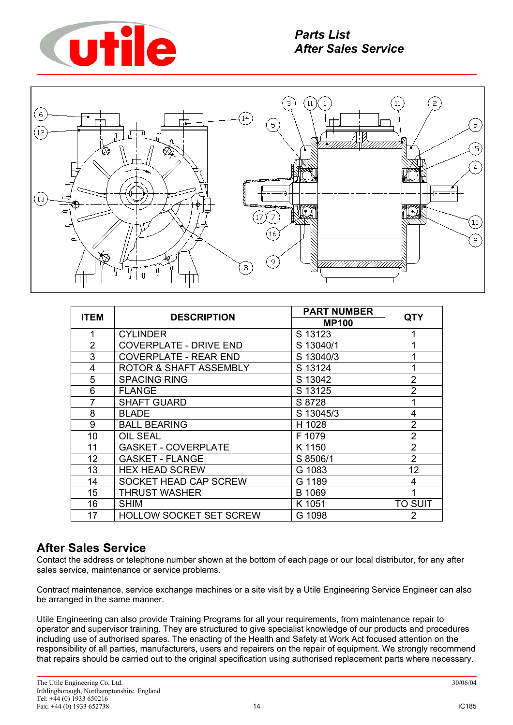



|                |                                   | <b>PART NUMBER</b> |                |
|----------------|-----------------------------------|--------------------|----------------|
| <b>ITEM</b>    | <b>DESCRIPTION</b>                | <b>MP100</b>       | <b>QTY</b>     |
|                | <b>CYLINDER</b>                   | S 13123            |                |
| $\overline{2}$ | <b>COVERPLATE - DRIVE END</b>     | S 13040/1          | 1              |
| 3              | <b>COVERPLATE - REAR END</b>      | S 13040/3          | 1              |
| 4              | <b>ROTOR &amp; SHAFT ASSEMBLY</b> | S 13124            | 1              |
| 5              | <b>SPACING RING</b>               | S 13042            | $\overline{2}$ |
| 6              | <b>FLANGE</b>                     | S 13125            | $\overline{2}$ |
| $\overline{7}$ | <b>SHAFT GUARD</b>                | S 8728             | 1              |
| 8              | <b>BLADE</b>                      | S 13045/3          | $\overline{4}$ |
| 9              | <b>BALL BEARING</b>               | H 1028             | $\overline{2}$ |
| 10             | <b>OIL SEAL</b>                   | F 1079             | $\overline{2}$ |
| 11             | <b>GASKET - COVERPLATE</b>        | K 1150             | $\overline{2}$ |
| 12             | <b>GASKET - FLANGE</b>            | S 8506/1           | $\overline{2}$ |
| 13             | <b>HEX HEAD SCREW</b>             | G 1083             | 12             |
| 14             | SOCKET HEAD CAP SCREW             | G 1189             | $\overline{4}$ |
| 15             | <b>THRUST WASHER</b>              | B 1069             | 1              |
| 16             | <b>SHIM</b>                       | K 1051             | TO SUIT        |
| 17             | <b>HOLLOW SOCKET SET SCREW</b>    | G 1098             | 2              |

# **After Sales Service**

Contact the address or telephone number shown at the bottom of each page or our local distributor, for any after sales service, maintenance or service problems.

Contract maintenance, service exchange machines or a site visit by a Utile Engineering Service Engineer can also be arranged in the same manner.

Utile Engineering can also provide Training Programs for all your requirements, from maintenance repair to operator and supervisor training. They are structured to give specialist knowledge of our products and procedures including use of authorised spares. The enacting of the Health and Safety at Work Act focused attention on the responsibility of all parties, manufacturers, users and repairers on the repair of equipment. We strongly recommend that repairs should be carried out to the original specification using authorised replacement parts where necessary.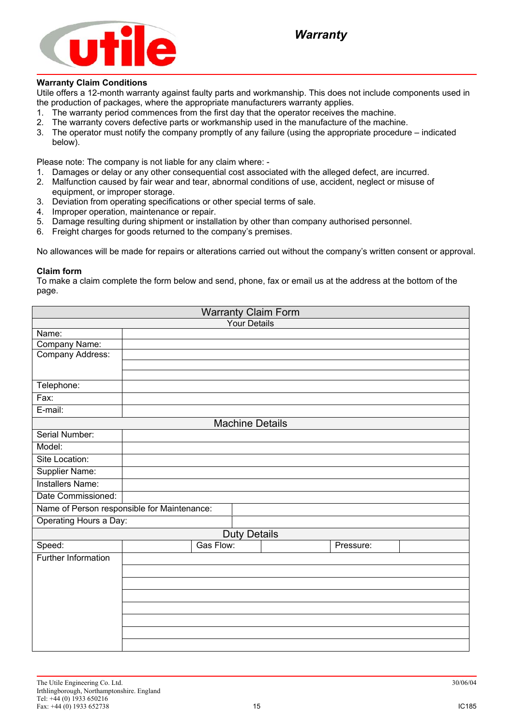

### **Warranty Claim Conditions**

Utile offers a 12-month warranty against faulty parts and workmanship. This does not include components used in the production of packages, where the appropriate manufacturers warranty applies.

- 1. The warranty period commences from the first day that the operator receives the machine.
- 2. The warranty covers defective parts or workmanship used in the manufacture of the machine.
- 3. The operator must notify the company promptly of any failure (using the appropriate procedure indicated below).

Please note: The company is not liable for any claim where: -

- 1. Damages or delay or any other consequential cost associated with the alleged defect, are incurred.
- 2. Malfunction caused by fair wear and tear, abnormal conditions of use, accident, neglect or misuse of equipment, or improper storage.
- 3. Deviation from operating specifications or other special terms of sale.
- 4. Improper operation, maintenance or repair.
- 5. Damage resulting during shipment or installation by other than company authorised personnel.
- 6. Freight charges for goods returned to the company's premises.

No allowances will be made for repairs or alterations carried out without the company's written consent or approval.

#### **Claim form**

To make a claim complete the form below and send, phone, fax or email us at the address at the bottom of the page.

| <b>Warranty Claim Form</b>                  |  |           |                        |  |           |  |
|---------------------------------------------|--|-----------|------------------------|--|-----------|--|
| <b>Your Details</b>                         |  |           |                        |  |           |  |
| Name:                                       |  |           |                        |  |           |  |
| Company Name:                               |  |           |                        |  |           |  |
| Company Address:                            |  |           |                        |  |           |  |
|                                             |  |           |                        |  |           |  |
| Telephone:                                  |  |           |                        |  |           |  |
| Fax:                                        |  |           |                        |  |           |  |
| E-mail:                                     |  |           |                        |  |           |  |
|                                             |  |           | <b>Machine Details</b> |  |           |  |
| Serial Number:                              |  |           |                        |  |           |  |
| Model:                                      |  |           |                        |  |           |  |
| Site Location:                              |  |           |                        |  |           |  |
| Supplier Name:                              |  |           |                        |  |           |  |
| <b>Installers Name:</b>                     |  |           |                        |  |           |  |
| Date Commissioned:                          |  |           |                        |  |           |  |
| Name of Person responsible for Maintenance: |  |           |                        |  |           |  |
| Operating Hours a Day:                      |  |           |                        |  |           |  |
|                                             |  |           | <b>Duty Details</b>    |  |           |  |
| Speed:                                      |  | Gas Flow: |                        |  | Pressure: |  |
| <b>Further Information</b>                  |  |           |                        |  |           |  |
|                                             |  |           |                        |  |           |  |
|                                             |  |           |                        |  |           |  |
|                                             |  |           |                        |  |           |  |
|                                             |  |           |                        |  |           |  |
|                                             |  |           |                        |  |           |  |
|                                             |  |           |                        |  |           |  |
|                                             |  |           |                        |  |           |  |